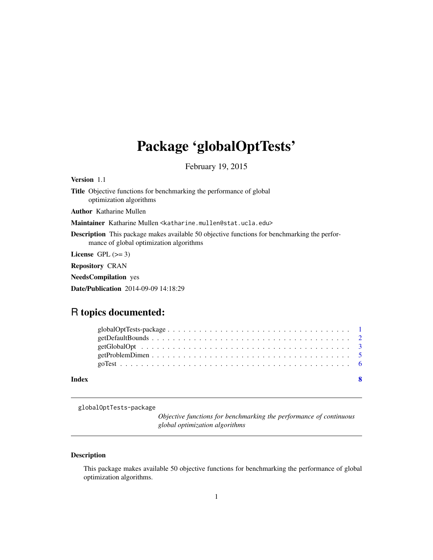## <span id="page-0-0"></span>Package 'globalOptTests'

February 19, 2015

Version 1.1

Title Objective functions for benchmarking the performance of global optimization algorithms

Author Katharine Mullen

Maintainer Katharine Mullen <katharine.mullen@stat.ucla.edu>

Description This package makes available 50 objective functions for benchmarking the performance of global optimization algorithms

License GPL  $(>= 3)$ 

Repository CRAN

NeedsCompilation yes

Date/Publication 2014-09-09 14:18:29

### R topics documented:

| Index |  |  |  |  |  |  |  |  |  |  |  |  |  |  |  |  |
|-------|--|--|--|--|--|--|--|--|--|--|--|--|--|--|--|--|
|       |  |  |  |  |  |  |  |  |  |  |  |  |  |  |  |  |
|       |  |  |  |  |  |  |  |  |  |  |  |  |  |  |  |  |
|       |  |  |  |  |  |  |  |  |  |  |  |  |  |  |  |  |

globalOptTests-package

*Objective functions for benchmarking the performance of continuous global optimization algorithms*

#### Description

This package makes available 50 objective functions for benchmarking the performance of global optimization algorithms.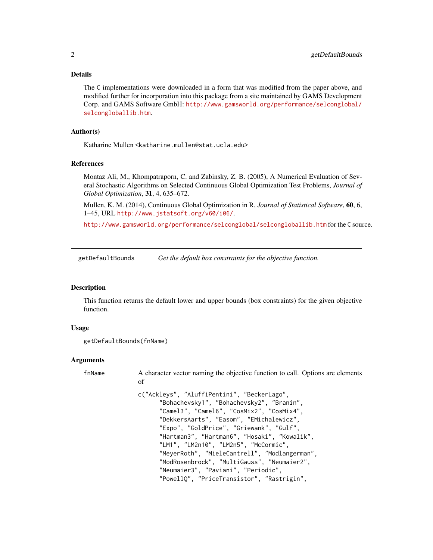#### <span id="page-1-0"></span>Details

The C implementations were downloaded in a form that was modified from the paper above, and modified further for incorporation into this package from a site maintained by GAMS Development Corp. and GAMS Software GmbH: [http://www.gamsworld.org/performance/selconglobal/](http://www.gamsworld.org/performance/selconglobal/selcongloballib.htm) [selcongloballib.htm](http://www.gamsworld.org/performance/selconglobal/selcongloballib.htm).

#### Author(s)

Katharine Mullen <katharine.mullen@stat.ucla.edu>

#### References

Montaz Ali, M., Khompatraporn, C. and Zabinsky, Z. B. (2005), A Numerical Evaluation of Several Stochastic Algorithms on Selected Continuous Global Optimization Test Problems, *Journal of Global Optimization*, 31, 4, 635–672.

Mullen, K. M. (2014), Continuous Global Optimization in R, *Journal of Statistical Software*, 60, 6, 1–45, URL <http://www.jstatsoft.org/v60/i06/>.

<http://www.gamsworld.org/performance/selconglobal/selcongloballib.htm> for the C source.

getDefaultBounds *Get the default box constraints for the objective function.*

#### Description

This function returns the default lower and upper bounds (box constraints) for the given objective function.

#### Usage

```
getDefaultBounds(fnName)
```
#### Arguments

| fnName | A character vector naming the objective function to call. Options are elements<br>οf                                                                                                                                                                                                                                                                                                                                                                                                                        |
|--------|-------------------------------------------------------------------------------------------------------------------------------------------------------------------------------------------------------------------------------------------------------------------------------------------------------------------------------------------------------------------------------------------------------------------------------------------------------------------------------------------------------------|
|        | c("Ackleys", "AluffiPentini", "BeckerLago",<br>"Bohachevsky1", "Bohachevsky2", "Branin",<br>"Camel3", "Camel6", "CosMix2", "CosMix4",<br>"DekkersAarts", "Easom", "EMichalewicz",<br>"Expo", "GoldPrice", "Griewank", "Gulf",<br>"Hartman3", "Hartman6", "Hosaki", "Kowalik",<br>"LM1", "LM2n10", "LM2n5", "McCormic",<br>"MeyerRoth", "MieleCantrell", "Modlangerman",<br>"ModRosenbrock", "MultiGauss", "Neumaier2",<br>"Neumaier3", "Paviani", "Periodic",<br>"PowellQ", "PriceTransistor", "Rastrigin", |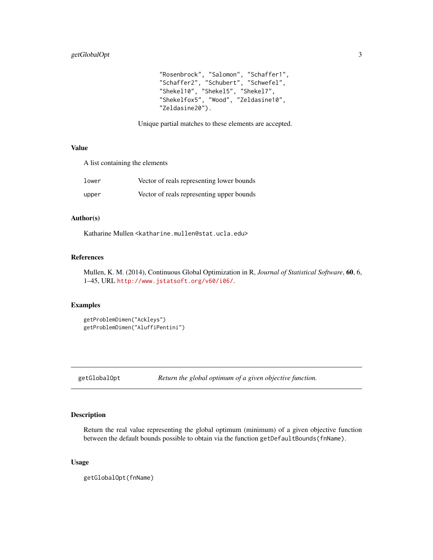```
"Rosenbrock", "Salomon", "Schaffer1",
"Schaffer2", "Schubert", "Schwefel",
"Shekel10", "Shekel5", "Shekel7",
"Shekelfox5", "Wood", "Zeldasine10",
"Zeldasine20").
```
Unique partial matches to these elements are accepted.

#### Value

A list containing the elements

| lower | Vector of reals representing lower bounds |
|-------|-------------------------------------------|
| upper | Vector of reals representing upper bounds |

#### Author(s)

Katharine Mullen <katharine.mullen@stat.ucla.edu>

#### References

Mullen, K. M. (2014), Continuous Global Optimization in R, *Journal of Statistical Software*, 60, 6, 1–45, URL <http://www.jstatsoft.org/v60/i06/>.

#### Examples

```
getProblemDimen("Ackleys")
getProblemDimen("AluffiPentini")
```
<span id="page-2-1"></span>getGlobalOpt *Return the global optimum of a given objective function.*

#### Description

Return the real value representing the global optimum (minimum) of a given objective function between the default bounds possible to obtain via the function getDefaultBounds(fnName).

#### Usage

getGlobalOpt(fnName)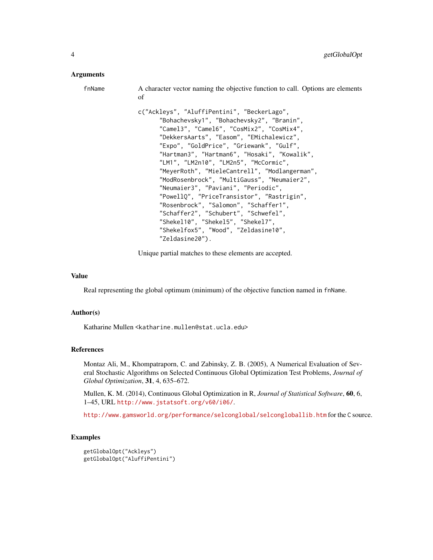#### Arguments

| fnName | A character vector naming the objective function to call. Options are elements<br>of                                                                                                                                                                                                                                                                                                                                                                                                                                                                                                                                              |
|--------|-----------------------------------------------------------------------------------------------------------------------------------------------------------------------------------------------------------------------------------------------------------------------------------------------------------------------------------------------------------------------------------------------------------------------------------------------------------------------------------------------------------------------------------------------------------------------------------------------------------------------------------|
|        | c("Ackleys", "AluffiPentini", "BeckerLago",<br>"Bohachevsky1", "Bohachevsky2", "Branin",<br>"Camel3", "Camel6", "CosMix2", "CosMix4",<br>"DekkersAarts", "Easom", "EMichalewicz",<br>"Expo", "GoldPrice", "Griewank", "Gulf",<br>"Hartman3", "Hartman6", "Hosaki", "Kowalik",<br>"LM1", "LM2n10", "LM2n5", "McCormic",<br>"MeyerRoth", "MieleCantrell", "Modlangerman",<br>"ModRosenbrock", "MultiGauss", "Neumaier2",<br>"Neumaier3", "Paviani", "Periodic",<br>"PowellQ", "PriceTransistor", "Rastrigin",<br>"Rosenbrock", "Salomon", "Schaffer1",<br>"Schaffer2", "Schubert", "Schwefel",<br>"Shekel10", "Shekel5", "Shekel7", |
|        | "Shekelfox5", "Wood", "Zeldasine10",                                                                                                                                                                                                                                                                                                                                                                                                                                                                                                                                                                                              |

Unique partial matches to these elements are accepted.

"Zeldasine20").

#### Value

Real representing the global optimum (minimum) of the objective function named in fnName.

#### Author(s)

Katharine Mullen <katharine.mullen@stat.ucla.edu>

#### References

Montaz Ali, M., Khompatraporn, C. and Zabinsky, Z. B. (2005), A Numerical Evaluation of Several Stochastic Algorithms on Selected Continuous Global Optimization Test Problems, *Journal of Global Optimization*, 31, 4, 635–672.

Mullen, K. M. (2014), Continuous Global Optimization in R, *Journal of Statistical Software*, 60, 6, 1–45, URL <http://www.jstatsoft.org/v60/i06/>.

<http://www.gamsworld.org/performance/selconglobal/selcongloballib.htm> for the C source.

#### Examples

```
getGlobalOpt("Ackleys")
getGlobalOpt("AluffiPentini")
```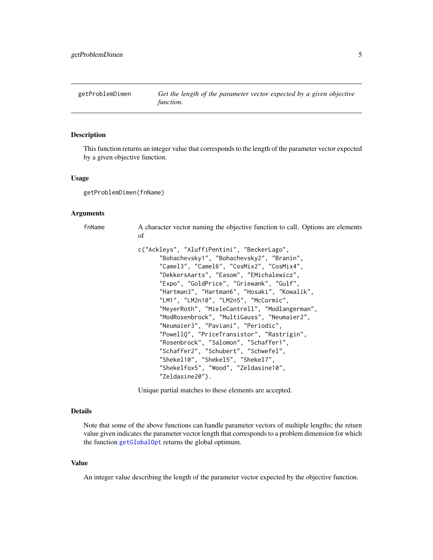<span id="page-4-0"></span>getProblemDimen *Get the length of the parameter vector expected by a given objective function.*

#### **Description**

This function returns an integer value that corresponds to the length of the parameter vector expected by a given objective function.

#### Usage

getProblemDimen(fnName)

#### Arguments

finName A character vector naming the objective function to call. Options are elements of

```
c("Ackleys", "AluffiPentini", "BeckerLago",
      "Bohachevsky1", "Bohachevsky2", "Branin",
      "Camel3", "Camel6", "CosMix2", "CosMix4",
      "DekkersAarts", "Easom", "EMichalewicz",
      "Expo", "GoldPrice", "Griewank", "Gulf",
      "Hartman3", "Hartman6", "Hosaki", "Kowalik",
      "LM1", "LM2n10", "LM2n5", "McCormic",
      "MeyerRoth", "MieleCantrell", "Modlangerman",
      "ModRosenbrock", "MultiGauss", "Neumaier2",
      "Neumaier3", "Paviani", "Periodic",
      "PowellQ", "PriceTransistor", "Rastrigin",
      "Rosenbrock", "Salomon", "Schaffer1",
      "Schaffer2", "Schubert", "Schwefel",
      "Shekel10", "Shekel5", "Shekel7",
      "Shekelfox5", "Wood", "Zeldasine10",
      "Zeldasine20").
```
Unique partial matches to these elements are accepted.

#### Details

Note that some of the above functions can handle parameter vectors of multiple lengths; the return value given indicates the parameter vector length that corresponds to a problem dimension for which the function [getGlobalOpt](#page-2-1) returns the global optimum.

#### Value

An integer value describing the length of the parameter vector expected by the objective function.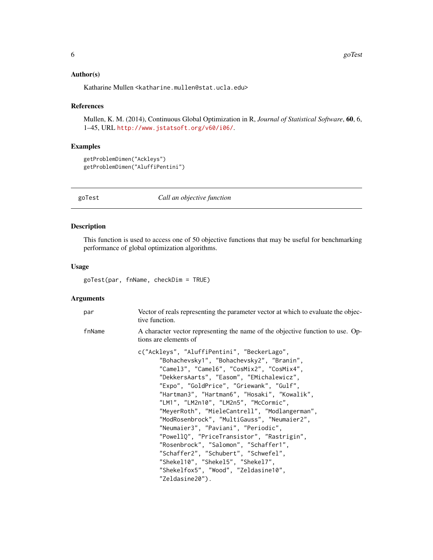#### <span id="page-5-0"></span>Author(s)

Katharine Mullen <katharine.mullen@stat.ucla.edu>

#### References

Mullen, K. M. (2014), Continuous Global Optimization in R, *Journal of Statistical Software*, 60, 6, 1–45, URL <http://www.jstatsoft.org/v60/i06/>.

#### Examples

```
getProblemDimen("Ackleys")
getProblemDimen("AluffiPentini")
```
goTest *Call an objective function*

#### Description

This function is used to access one of 50 objective functions that may be useful for benchmarking performance of global optimization algorithms.

#### Usage

goTest(par, fnName, checkDim = TRUE)

#### Arguments

| par    | Vector of reals representing the parameter vector at which to evaluate the objec-<br>tive function.                                                                                                                                                                                                                                                                                                                                                                                                                                                                                                                                                                                          |
|--------|----------------------------------------------------------------------------------------------------------------------------------------------------------------------------------------------------------------------------------------------------------------------------------------------------------------------------------------------------------------------------------------------------------------------------------------------------------------------------------------------------------------------------------------------------------------------------------------------------------------------------------------------------------------------------------------------|
| fnName | A character vector representing the name of the objective function to use. Op-<br>tions are elements of                                                                                                                                                                                                                                                                                                                                                                                                                                                                                                                                                                                      |
|        | c("Ackleys", "AluffiPentini", "BeckerLago",<br>"Bohachevsky1", "Bohachevsky2", "Branin",<br>"Camel3", "Camel6", "CosMix2", "CosMix4",<br>"DekkersAarts", "Easom", "EMichalewicz",<br>"Expo", "GoldPrice", "Griewank", "Gulf",<br>"Hartman3", "Hartman6", "Hosaki", "Kowalik",<br>"LM1", "LM2n10", "LM2n5", "McCormic",<br>"MeyerRoth", "MieleCantrell", "Modlangerman",<br>"ModRosenbrock", "MultiGauss", "Neumaier2",<br>"Neumaier3", "Paviani", "Periodic",<br>"PowellQ", "PriceTransistor", "Rastrigin",<br>"Rosenbrock", "Salomon", "Schaffer1",<br>"Schaffer2", "Schubert", "Schwefel",<br>"Shekel10", "Shekel5", "Shekel7",<br>"Shekelfox5", "Wood", "Zeldasine10",<br>"Zeldasine20"). |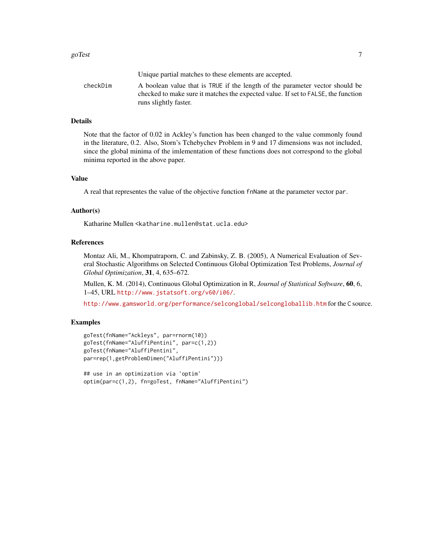|          | Unique partial matches to these elements are accepted.                                                                                                            |
|----------|-------------------------------------------------------------------------------------------------------------------------------------------------------------------|
| checkDim | A boolean value that is TRUE if the length of the parameter vector should be<br>checked to make sure it matches the expected value. If set to FALSE, the function |
|          | runs slightly faster.                                                                                                                                             |

#### Details

Note that the factor of 0.02 in Ackley's function has been changed to the value commonly found in the literature, 0.2. Also, Storn's Tchebychev Problem in 9 and 17 dimensions was not included, since the global minima of the imlementation of these functions does not correspond to the global minima reported in the above paper.

#### Value

A real that representes the value of the objective function fnName at the parameter vector par.

#### Author(s)

Katharine Mullen <katharine.mullen@stat.ucla.edu>

#### References

Montaz Ali, M., Khompatraporn, C. and Zabinsky, Z. B. (2005), A Numerical Evaluation of Several Stochastic Algorithms on Selected Continuous Global Optimization Test Problems, *Journal of Global Optimization*, 31, 4, 635–672.

Mullen, K. M. (2014), Continuous Global Optimization in R, *Journal of Statistical Software*, 60, 6, 1–45, URL <http://www.jstatsoft.org/v60/i06/>.

<http://www.gamsworld.org/performance/selconglobal/selcongloballib.htm> for the C source.

#### Examples

```
goTest(fnName="Ackleys", par=rnorm(10))
goTest(fnName="AluffiPentini", par=c(1,2))
goTest(fnName="AluffiPentini",
par=rep(1,getProblemDimen("AluffiPentini")))
```

```
## use in an optimization via 'optim'
optim(par=c(1,2), fn=goTest, fnName="AluffiPentini")
```